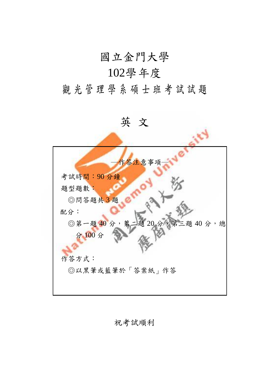### 國立金門大學

# 102學年度

# 觀光管理學系碩士班考試試題

英 文 作答注意事項 考試時間:90 分鐘 題型題數: ◎問答題共 3 題 配分: ◎第一題 40 分,第二題 20 分,第三題 40 分,總 分 100 分 作答方式: ◎以黑筆或藍筆於「答案紙」作答

祝考試順利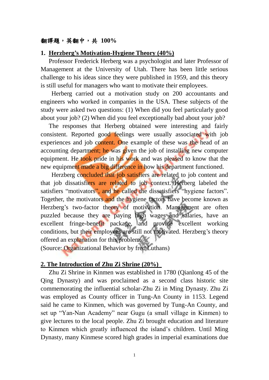#### 翻譯題,英翻中,共 **100%**

#### **1. Herzberg's Motivation-Hygiene Theory (40%)**

Professor Frederick Herberg was a psychologist and later Professor of Management at the University of Utah. There has been little serious challenge to his ideas since they were published in 1959, and this theory is still useful for managers who want to motivate their employees.

Herberg carried out a motivation study on 200 accountants and engineers who worked in companies in the USA. These subjects of the study were asked two questions: (1) When did you feel particularly good about your job? (2) When did you feel exceptionally bad about your job?

The responses that Herberg obtained were interesting and fairly consistent. Reported good feelings were usually associated with job experiences and job content. One example of these was the head of an accounting department; he was given the job of installing new computer equipment. He took pride in his work and was pleased to know that the new equipment made a big difference in how his department functioned.

Herzberg concluded that job satisfiers are related to job content and that job dissatisfiers are related to job context. Herberg labeled the satisfiers "motivators", and he called the dissatisfiers "hygiene factors". Together, the motivators and the hygiene factors have become known as Herzberg's two-factor theory of motivation. Management are often puzzled because they are paying high wages and salaries, have an excellent fringe-benefit package, and provide excellent working conditions, but their employees are still not motivated. Herzberg's theory offered an explanation for this problem.

(Source: Organizational Behavior by fred Luthans)

#### **2. The Introduction of Zhu Zi Shrine (20%)**

Zhu Zi Shrine in Kinmen was established in 1780 (Qianlong 45 of the Qing Dynasty) and was proclaimed as a second class historic site commemorating the influential scholar-Zhu Zi in Ming Dynasty. Zhu Zi was employed as County officer in Tung-An County in 1153. Legend said he came to Kinmen, which was governed by Tung-An County, and set up "Yan-Nan Academy" near Gugu (a small village in Kinmen) to give lectures to the local people. Zhu Zi brought education and literature to Kinmen which greatly influenced the island's children. Until Ming Dynasty, many Kinmese scored high grades in imperial examinations due